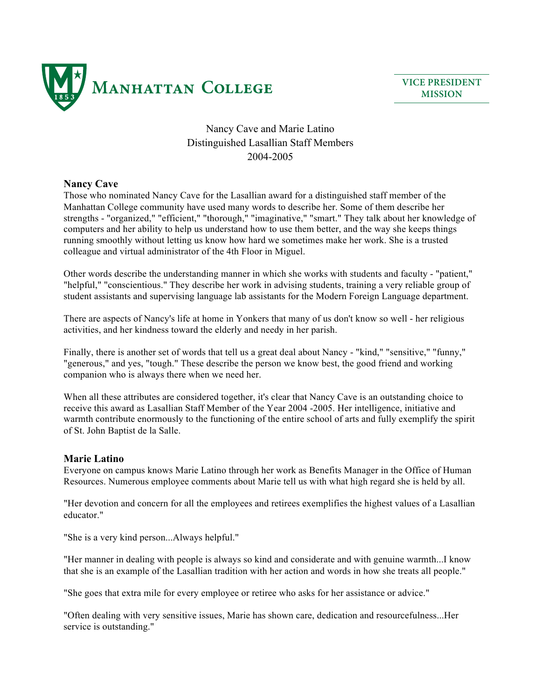

**VICE PRESIDENT MISSION**

## Nancy Cave and Marie Latino Distinguished Lasallian Staff Members 2004-2005

## **Nancy Cave**

Those who nominated Nancy Cave for the Lasallian award for a distinguished staff member of the Manhattan College community have used many words to describe her. Some of them describe her strengths - "organized," "efficient," "thorough," "imaginative," "smart." They talk about her knowledge of computers and her ability to help us understand how to use them better, and the way she keeps things running smoothly without letting us know how hard we sometimes make her work. She is a trusted colleague and virtual administrator of the 4th Floor in Miguel.

Other words describe the understanding manner in which she works with students and faculty - "patient," "helpful," "conscientious." They describe her work in advising students, training a very reliable group of student assistants and supervising language lab assistants for the Modern Foreign Language department.

There are aspects of Nancy's life at home in Yonkers that many of us don't know so well - her religious activities, and her kindness toward the elderly and needy in her parish.

Finally, there is another set of words that tell us a great deal about Nancy - "kind," "sensitive," "funny," "generous," and yes, "tough." These describe the person we know best, the good friend and working companion who is always there when we need her.

When all these attributes are considered together, it's clear that Nancy Cave is an outstanding choice to receive this award as Lasallian Staff Member of the Year 2004 -2005. Her intelligence, initiative and warmth contribute enormously to the functioning of the entire school of arts and fully exemplify the spirit of St. John Baptist de la Salle.

## **Marie Latino**

Everyone on campus knows Marie Latino through her work as Benefits Manager in the Office of Human Resources. Numerous employee comments about Marie tell us with what high regard she is held by all.

"Her devotion and concern for all the employees and retirees exemplifies the highest values of a Lasallian educator."

"She is a very kind person...Always helpful."

"Her manner in dealing with people is always so kind and considerate and with genuine warmth...I know that she is an example of the Lasallian tradition with her action and words in how she treats all people."

"She goes that extra mile for every employee or retiree who asks for her assistance or advice."

"Often dealing with very sensitive issues, Marie has shown care, dedication and resourcefulness...Her service is outstanding."